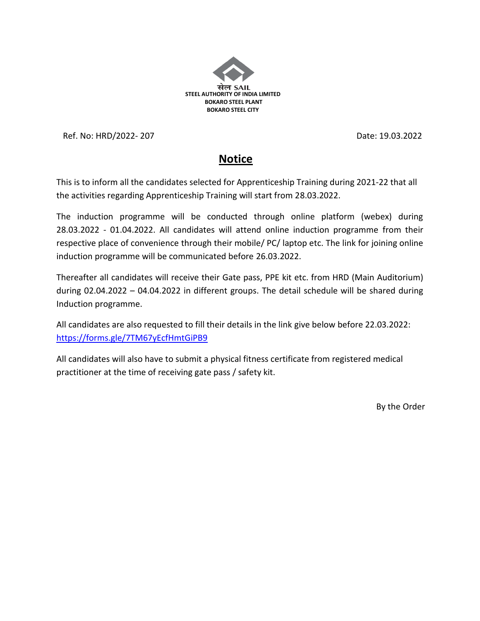

Ref. No: HRD/2022- 207 Date: 19.03.2022

## **Notice**

This is to inform all the candidates selected for Apprenticeship Training during 2021-22 that all the activities regarding Apprenticeship Training will start from 28.03.2022.

The induction programme will be conducted through online platform (webex) during 28.03.2022 - 01.04.2022. All candidates will attend online induction programme from their respective place of convenience through their mobile/ PC/ laptop etc. The link for joining online induction programme will be communicated before 26.03.2022.

Thereafter all candidates will receive their Gate pass, PPE kit etc. from HRD (Main Auditorium) during 02.04.2022 – 04.04.2022 in different groups. The detail schedule will be shared during Induction programme.

All candidates are also requested to fill their details in the link give below before 22.03.2022: <https://forms.gle/7TM67yEcfHmtGiPB9>

All candidates will also have to submit a physical fitness certificate from registered medical practitioner at the time of receiving gate pass / safety kit.

By the Order